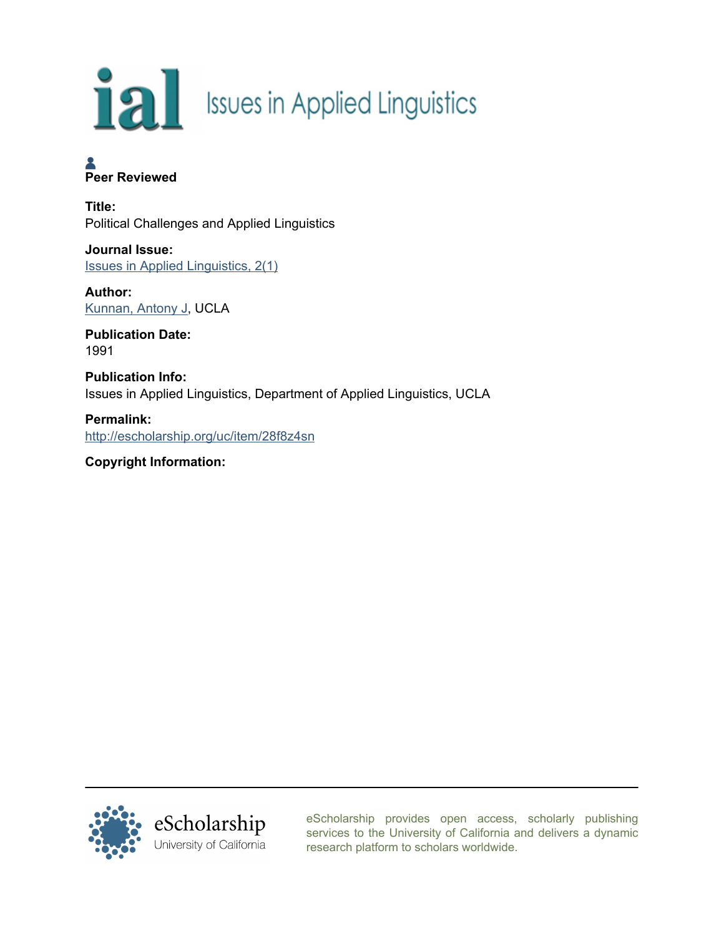

## **A**<br>Peer Reviewed

Title: Political Challenges and Applied Linguistics

Journal Issue: [Issues in Applied Linguistics, 2\(1\)](http://escholarship.org/uc/appling_ial?volume=2;issue=1)

Author: [Kunnan, Antony J,](http://escholarship.org/uc/search?creator=Kunnan%2C%20Antony%20J) UCLA

Publication Date: 1991

Publication Info: Issues in Applied Linguistics, Department of Applied Linguistics, UCLA

Permalink: <http://escholarship.org/uc/item/28f8z4sn>

Copyright Information:



[eScholarship provides open access, scholarly publishing](http://escholarship.org) [services to the University of California and delivers a dynamic](http://escholarship.org) [research platform to scholars worldwide.](http://escholarship.org)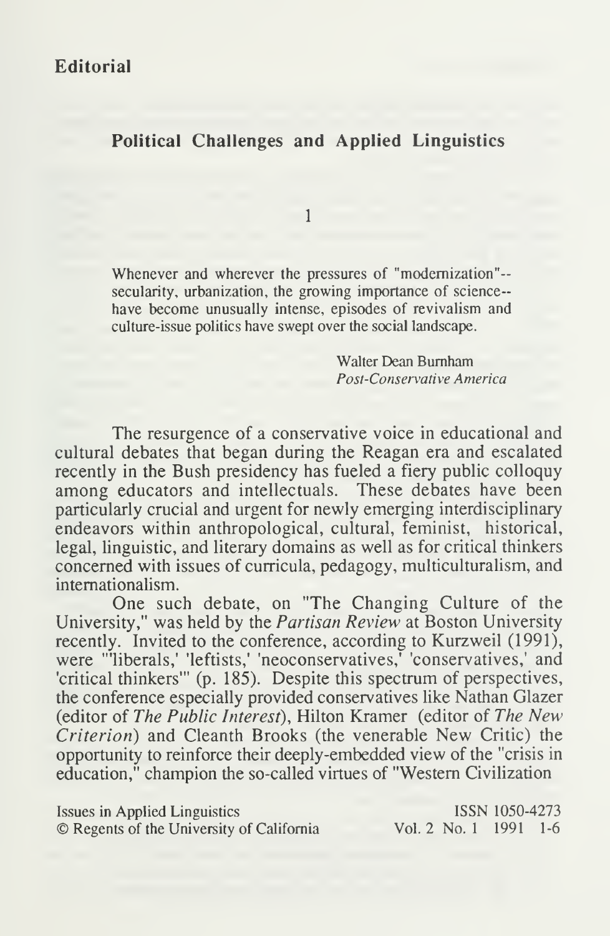## Political Challenges and Applied Linguistics

1

Whenever and wherever the pressures of "modernization"- secularity, urbanization, the growing importance of science-have become unusually intense, episodes of revivalism and culture-issue politics have swept over the social landscape.

> Walter Dean Burnham Post-Conservative America

The resurgence of a conservative voice in educational and cultural debates that began during the Reagan era and escalated recently in the Bush presidency has fueled a fiery public colloquy among educators and intellectuals. These debates have been particularly crucial and urgent for newly emerging interdisciplinary endeavors within anthropological, cultural, feminist, historical, legal, linguistic, and literary domains as well as for critical thinkers concerned with issues of curricula, pedagogy, multiculturalism, and internationalism.

One such debate, on "The Changing Culture of the University," was held by the Partisan Review at Boston University recently. Invited to the conference, according to Kurzweil (1991), were "'liberals,' 'leftists,' 'neoconservatives,' 'conservatives,' and 'critical thinkers'" (p. 185). Despite this spectrum of perspectives, the conference especially provided conservatives like Nathan Glazer (editor of The Public Interest), Hilton Kramer (editor of The New Criterion) and Cleanth Brooks (the venerable New Critic) the opportunity to reinforce their deeply-embedded view of the "crisis in education," champion the so-called virtues of "Western Civilization

Issues in Applied Linguistics ISSN 1050-4273 © Regents of the University of California Vol. 2 No. 1 1991 1-6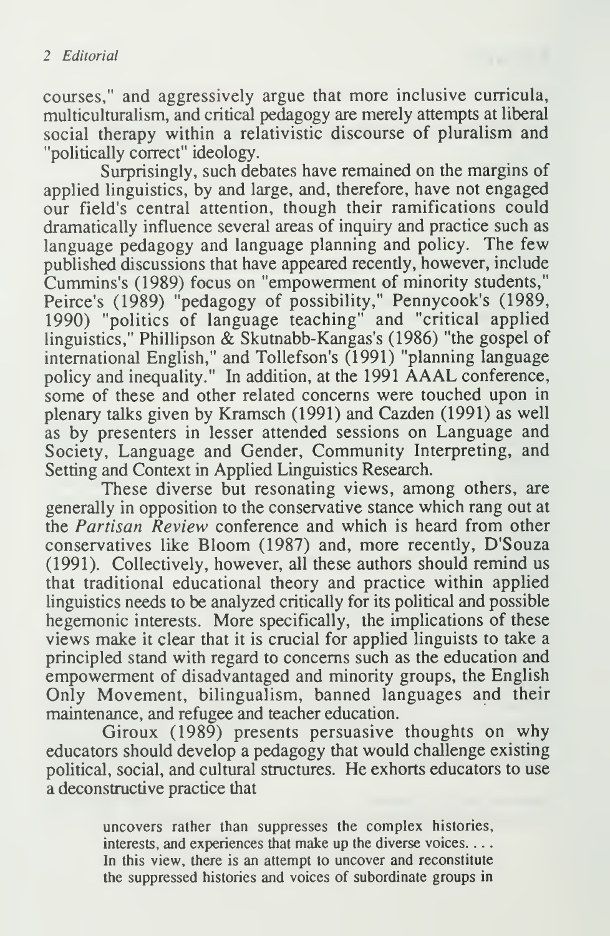courses," and aggressively argue that more inclusive curricula, multiculturalism, and critical pedagogy are merely attempts at liberal social therapy within a relativistic discourse of pluralism and "politically correct" ideology.

Surprisingly, such debates have remained on the margins of applied linguistics, by and large, and, therefore, have not engaged our field's central attention, though their ramifications could dramatically influence several areas of inquiry and practice such as language pedagogy and language planning and policy. The few published discussions that have appeared recently, however, include Cummins's (1989) focus on "empowerment of minority students," Peirce's (1989) "pedagogy of possibility," Pennycook's (1989, 1990) "politics of language teaching" and "critical applied linguistics," Phillipson & Skutnabb-Kangas's (1986) "the gospel of international English," and Tollefson's (1991) "planning language policy and inequality." In addition, at the <sup>1991</sup> AAAL conference, some of these and other related concerns were touched upon in plenary talks given by Kramsch (1991) and Cazden (1991) as well as by presenters in lesser attended sessions on Language and Society, Language and Gender, Community Interpreting, and Setting and Context in Applied Linguistics Research.

These diverse but resonating views, among others, are generally in opposition to the conservative stance which rang out at the *Partisan Review* conference and which is heard from other conservatives like Bloom (1987) and, more recently, D'Souza (1991). Collectively, however, all these authors should remind us that traditional educational theory and practice within applied linguistics needs to be analyzed critically for its political and possible hegemonic interests. More specifically, the implications of these views make it clear that it is crucial for applied linguists to take a principled stand with regard to concerns such as the education and empowerment of disadvantaged and minority groups, the English Only Movement, bilingualism, banned languages and their maintenance, and refugee and teacher education.

Giroux (1989) presents persuasive thoughts on why educators should develop a pedagogy that would challenge existing political, social, and cultural structures. He exhorts educators to use a deconstructive practice that

> uncovers rather than suppresses the complex histories, interests, and experiences that make up the diverse voices. . . . In this view, there is an attempt to uncover and reconstitute the suppressed histories and voices of subordinate groups in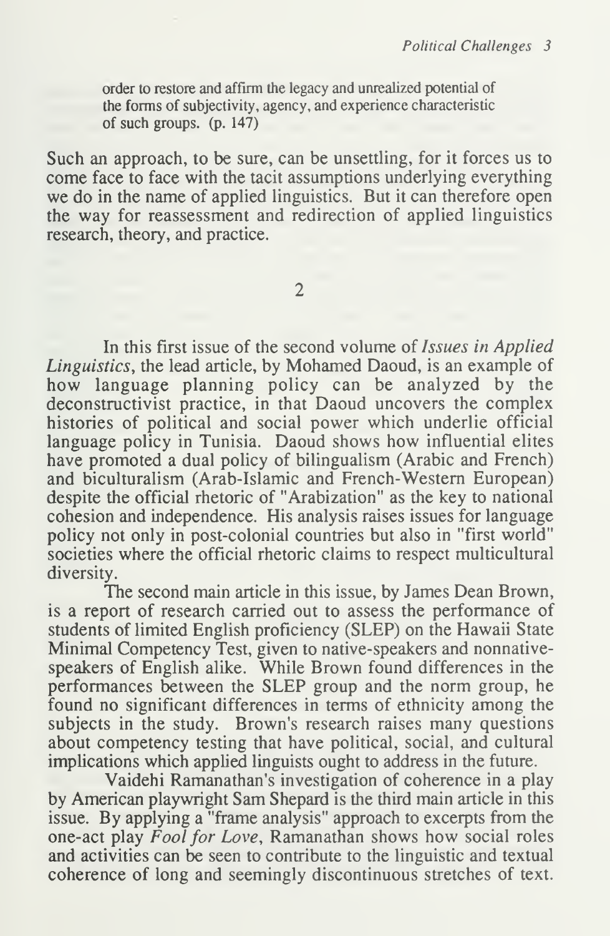order to restore and affirm the legacy and unrealized potential of the forms of subjectivity, agency, and experience characteristic of such groups, (p. 147)

Such an approach, to be sure, can be unsettling, for it forces us to come face to face with the tacit assumptions underlying everything we do in the name of applied linguistics. But it can therefore open the way for reassessment and redirection of applied linguistics research, theory, and practice.

 $\overline{2}$ 

In this first issue of the second volume of Issues in Applied Linguistics, the lead article, by Mohamed Daoud, is an example of how language planning policy can be analyzed by the deconstructivist practice, in that Daoud uncovers the complex histories of political and social power which underlie official language policy in Tunisia. Daoud shows how influential elites have promoted a dual policy of bilingualism (Arabic and French) and biculturalism (Arab-Islamic and French-Western European) despite the official rhetoric of "Arabization" as the key to national cohesion and independence. His analysis raises issues for language policy not only in post-colonial countries but also in "first world" societies where the official rhetoric claims to respect multicultural diversity.

The second main article in this issue, by James Dean Brown, is a report of research carried out to assess the performance of students of limited English proficiency (SLEP) on the Hawaii State Minimal Competency Test, given to native- speakers and nonnativespeakers of English alike. While Brown found differences in the performances between the SLEP group and the norm group, he found no significant differences in terms of ethnicity among the subjects in the study. Brown's research raises many questions about competency testing that have political, social, and cultural implications which applied linguists ought to address in the future.

Vaidehi Ramanathan's investigation of coherence in a play by American playwright Sam Shepard is the third main article in this issue. By applying a "frame analysis" approach to excerpts from the one-act play Fool for Love, Ramanathan shows how social roles and activities can be seen to contribute to the linguistic and textual coherence of long and seemingly discontinuous stretches of text.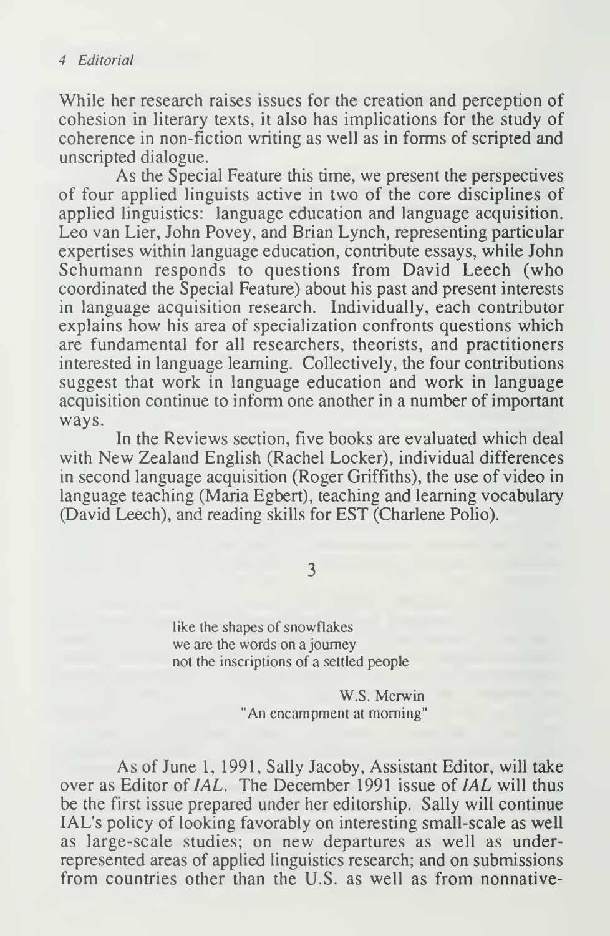While her research raises issues for the creation and perception of cohesion in literary texts, it also has implications for the study of coherence in non-fiction writing as well as in forms of scripted and unscripted dialogue.

As the Special Feature this time, we present the perspectives of four applied linguists active in two of the core disciplines of applied linguistics: language education and language acquisition. Leo van Lier, John Povey, and Brian Lynch, representing particular expertises within language education, contribute essays, while John Schumann responds to questions from David Leech (who coordinated the Special Feature) about his past and present interests in language acquisition research. Individually, each contributor explains how his area of specialization confronts questions which are fundamental for all researchers, theorists, and practitioners interested in language learning. Collectively, the four contributions suggest that work in language education and work in language acquisition continue to inform one another in a number of important ways.

In the Reviews section, five books are evaluated which deal with New Zealand English (Rachel Locker), individual differences in second language acquisition (Roger Griffiths), the use of video in language teaching (Maria Egbert), teaching and learning vocabulary (David Leech), and reading skills for EST (Charlene Polio).

3

like the shapes of snowflakes we are the words on a journey not the inscriptions of a settled people

> W.S. Merwin "An encampment at morning"

As of June 1, 1991, Sally Jacoby, Assistant Editor, will take over as Editor of *IAL*. The December 1991 issue of *IAL* will thus be the first issue prepared under her editorship. Sally will continue IAL's policy of looking favorably on interesting small-scale as well as large-scale studies; on new departures as well as underrepresented areas of applied linguistics research; and on submissions from countries other than the U.S. as well as from nonnative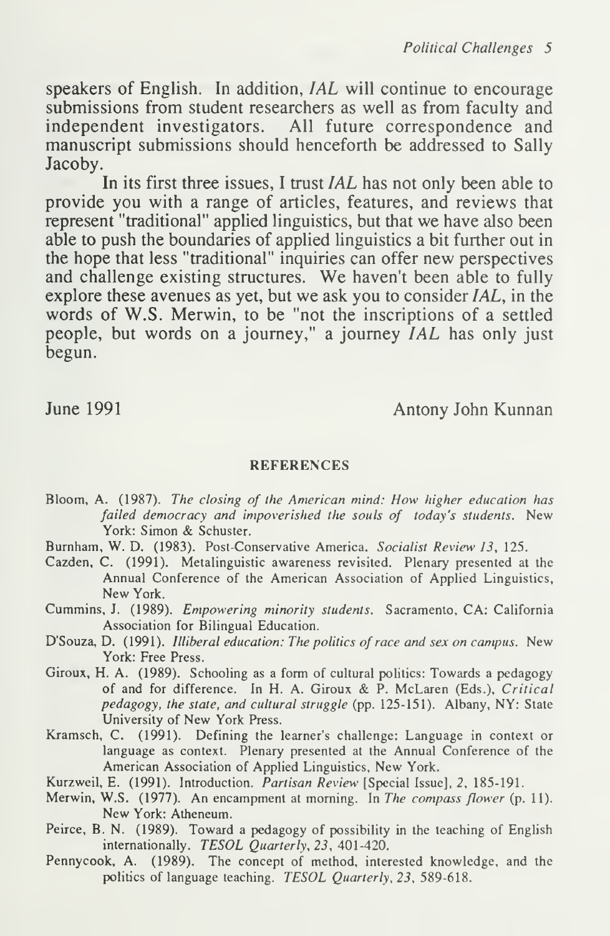speakers of English. In addition, IAL will continue to encourage submissions from student researchers as well as from faculty and independent investigators. All future correspondence and manuscript submissions should henceforth be addressed to Sally Jacoby.

In its first three issues, <sup>I</sup> trust IAL has not only been able to provide you with a range of articles, features, and reviews that represent "traditional" applied linguistics, but that we have also been able to push the boundaries of applied linguistics a bit further out in the hope that less "traditional" inquiries can offer new perspectives and challenge existing structures. We haven't been able to fully explore these avenues as yet, but we ask you to consider  $IAL$ , in the words of W.S. Merwin, to be "not the inscriptions of a settled people, but words on a journey," a journey IAL has only just begun.

June 1991 **Antony John Kunnan** 

## REFERENCES

- Bloom, A. (1987). The closing of the American mind: How higher education has failed democracy and impoverished the souls of today's students. New York: Simon & Schuster.
- Burnham, W. D. (1983). Post-Conservative America. Socialist Review 13, 125.
- Cazden, C. (1991). Metalinguistic awareness revisited. Plenary presented at the Annual Conference of the American Association of Applied Linguistics, New York.
- Cummins, J. (1989). Empowering minority students. Sacramento, CA: California Association for Bilingual Education.
- D'Souza, D. (1991). Illiberal education: The politics of race and sex on campus. New York: Free Press.
- Giroux, H. A. (1989). Schooling as a form of cultural politics: Towards a pedagogy of and for difference. In H. A. Giroux & P. McLaren (Eds.), Critical pedagogy, the state, and cultural struggle (pp. 125-151). Albany, NY: State University of New York Press.
- Kramsch, C. (1991). Defining the learner's challenge: Language in context or language as context. Plenary presented at the Annual Conference of the American Association of Applied Linguistics, New York.
- Kurzweil, E. (1991). Introduction. Partisan Review [Special Issue], 2, 185-191.
- Merwin, W.S. (1977). An encampment at morning. In The compass flower (p. 11). New York: Atheneum.
- Peirce, B. N. (1989). Toward a pedagogy of possibility in the teaching of English internationally. TESOL Quarterly, 23, 401-420.
- Pennycook, A. (1989). The concept of method, interested knowledge, and the politics of language teaching. TESOL Quarterly, 23, 589-618.